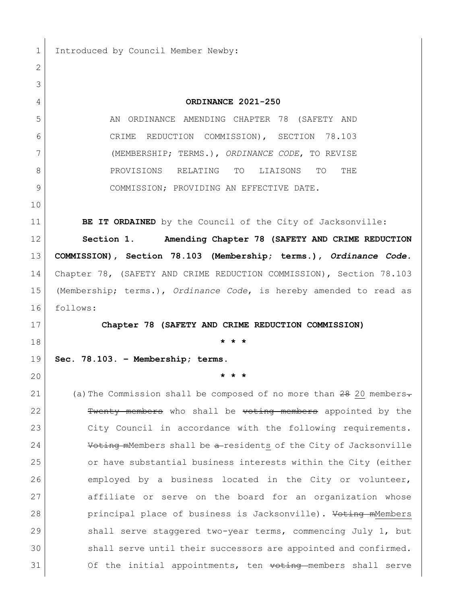1 Introduced by Council Member Newby:

 **ORDINANCE 2021-250** AN ORDINANCE AMENDING CHAPTER 78 (SAFETY AND CRIME REDUCTION COMMISSION), SECTION 78.103 (MEMBERSHIP; TERMS.), *ORDINANCE CODE*, TO REVISE PROVISIONS RELATING TO LIAISONS TO THE COMMISSION; PROVIDING AN EFFECTIVE DATE. **BE IT ORDAINED** by the Council of the City of Jacksonville: **Section 1. Amending Chapter 78 (SAFETY AND CRIME REDUCTION COMMISSION), Section 78.103 (Membership; terms.),** *Ordinance Code.* Chapter 78, (SAFETY AND CRIME REDUCTION COMMISSION), Section 78.103 (Membership; terms.), *Ordinance Code*, is hereby amended to read as follows: **Chapter 78 (SAFETY AND CRIME REDUCTION COMMISSION) \* \* \* Sec. 78.103. – Membership; terms. \* \* \*** 21 (a) The Commission shall be composed of no more than 20 members. **Twenty members** who shall be voting members appointed by the City Council in accordance with the following requirements. **Voting m**Members shall be a-residents of the City of Jacksonville or have substantial business interests within the City (either employed by a business located in the City or volunteer, 27 affiliate or serve on the board for an organization whose **principal place of business is Jacksonville).** Voting mMembers 29 Shall serve staggered two-year terms, commencing July 1, but 30 shall serve until their successors are appointed and confirmed. 31 Of the initial appointments, ten voting members shall serve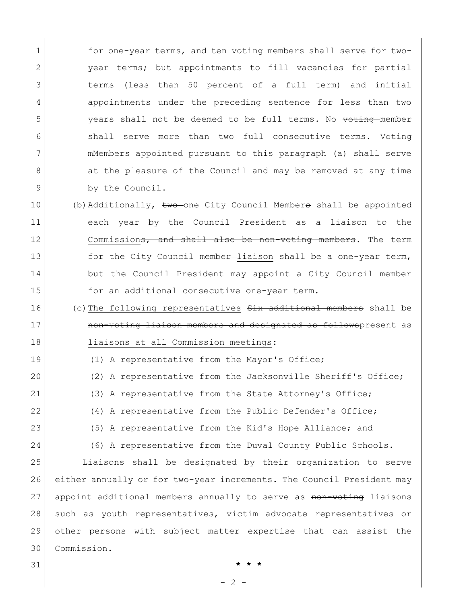1 for one-year terms, and ten voting members shall serve for two-2 | vear terms; but appointments to fill vacancies for partial 3 terms (less than 50 percent of a full term) and initial 4 appointments under the preceding sentence for less than two 5 years shall not be deemed to be full terms. No voting member 6 shall serve more than two full consecutive terms. Voting 7 mMembers appointed pursuant to this paragraph (a) shall serve 8 at the pleasure of the Council and may be removed at any time 9 by the Council.

- 10 (b)Additionally, two one City Council Members shall be appointed 11 each year by the Council President as a liaison to the 12 commission<del>s, and shall also be non-voting members</del>. The term 13 for the City Council member-liaison shall be a one-year term, 14 but the Council President may appoint a City Council member 15 for an additional consecutive one-year term.
- 16 (c)The following representatives  $S<sub>i</sub>$ x additional members shall be 17 **non-voting liaison members and designated as follows**present as 18 liaisons at all Commission meetings:
- 19 (1) A representative from the Mayor's Office; 20 (2) A representative from the Jacksonville Sheriff's Office;
- 21 (3) A representative from the State Attorney's Office;
- 22 (4) A representative from the Public Defender's Office;
- 23 (5) A representative from the Kid's Hope Alliance; and
- 24 (6) A representative from the Duval County Public Schools.

 Liaisons shall be designated by their organization to serve either annually or for two-year increments. The Council President may 27 appoint additional members annually to serve as non-voting liaisons 28 such as youth representatives, victim advocate representatives or other persons with subject matter expertise that can assist the Commission.

31 **\* \* \***